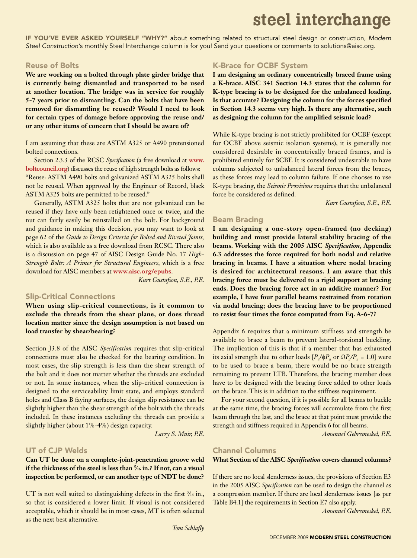# steel interchange

If you've ever asked yourself "why?" about something related to structural steel design or construction, *Modern Steel Construction'*s monthly Steel Interchange column is for you! Send your questions or comments to solutions@aisc.org.

#### Reuse of Bolts

**We are working on a bolted through plate girder bridge that is currently being dismantled and transported to be used at another location. The bridge was in service for roughly 5-7 years prior to dismantling. Can the bolts that have been removed for dismantling be reused? Would I need to look for certain types of damage before approving the reuse and/ or any other items of concern that I should be aware of?**

I am assuming that these are ASTM A325 or A490 pretensioned bolted connections.

Section 2.3.3 of the RCSC *Specification* (a free download at **www. boltcouncil.org**) discusses the reuse of high strength bolts as follows: "Reuse: ASTM A490 bolts and galvanized ASTM A325 bolts shall not be reused. When approved by the Engineer of Record, black ASTM A325 bolts are permitted to be reused."

Generally, ASTM A325 bolts that are not galvanized can be reused if they have only been retightened once or twice, and the nut can fairly easily be reinstalled on the bolt. For background and guidance in making this decision, you may want to look at page 62 of the *Guide to Design Criteria for Bolted and Riveted Joints,* which is also available as a free download from RCSC. There also is a discussion on page 47 of AISC Design Guide No. 17 *High-Strength Bolts: A Primer for Structural Engineers*, which is a free download for AISC members at **www.aisc.org/epubs**.

*Kurt Gustafson, S.E., P.E.*

### Slip-Critical Connections

**When using slip-critical connections, is it common to exclude the threads from the shear plane, or does thread location matter since the design assumption is not based on load transfer by shear/bearing?**

Section J3.8 of the AISC *Specification* requires that slip-critical connections must also be checked for the bearing condition. In most cases, the slip strength is less than the shear strength of the bolt and it does not matter whether the threads are excluded or not. In some instances, when the slip-critical connection is designed to the serviceability limit state, and employs standard holes and Class B faying surfaces, the design slip resistance can be slightly higher than the shear strength of the bolt with the threads included. In these instances excluding the threads can provide a slightly higher (about 1%-4%) design capacity.

*Larry S. Muir, P.E.*

## UT of CJP Welds

## **Can UT be done on a complete-joint-penetration groove weld if the thickness of the steel is less than 5 ∕16 in.? If not, can a visual inspection be performed, or can another type of NDT be done?**

UT is not well suited to distinguishing defects in the first  $\frac{5}{16}$  in., so that is considered a lower limit. If visual is not considered acceptable, which it should be in most cases, MT is often selected as the next best alternative.

## K-Brace for OCBF System

**I am designing an ordinary concentrically braced frame using a K-brace. AISC 341 Section 14.3 states that the column for K-type bracing is to be designed for the unbalanced loading. Is that accurate? Designing the column for the forces specified in Section 14.3 seems very high. Is there any alternative, such as designing the column for the amplified seismic load?**

While K-type bracing is not strictly prohibited for OCBF (except for OCBF above seismic isolation systems), it is generally not considered desirable in concentrically braced frames, and is prohibited entirely for SCBF. It is considered undesirable to have columns subjected to unbalanced lateral forces from the braces, as these forces may lead to column failure. If one chooses to use K-type bracing, the *Seismic Provisions* requires that the unbalanced force be considered as defined.

*Kurt Gustafson, S.E., P.E.*

## Beam Bracing

**I am designing a one-story open-framed (no decking) building and must provide lateral stability bracing of the beams. Working with the 2005 AISC** *Specification***, Appendix 6.3 addresses the force required for both nodal and relative bracing in beams. I have a situation where nodal bracing is desired for architectural reasons. I am aware that this bracing force must be delivered to a rigid support at bracing ends. Does the bracing force act in an additive manner? For example, I have four parallel beams restrained from rotation via nodal bracing; does the bracing have to be proportioned to resist four times the force computed from Eq. A-6-7?**

Appendix 6 requires that a minimum stiffness and strength be available to brace a beam to prevent lateral-torsional buckling. The implication of this is that if a member that has exhausted its axial strength due to other loads  $[P_u/\phi P_n$  or  $\Omega P_a/P_n = 1.0]$  were to be used to brace a beam, there would be no brace strength remaining to prevent LTB. Therefore, the bracing member does have to be designed with the bracing force added to other loads on the brace. This is in addition to the stiffness requirement.

For your second question, if it is possible for all beams to buckle at the same time, the bracing forces will accumulate from the first beam through the last, and the brace at that point must provide the strength and stiffness required in Appendix 6 for all beams.

*Amanuel Gebremeskel, P.E.*

## Channel Columns

#### **What Section of the AISC** *Specification* **covers channel columns?**

If there are no local slenderness issues, the provisions of Section E3 in the 2005 AISC *Specification* can be used to design the channel as a compression member. If there are local slenderness issues [as per Table B4.1] the requirements in Section E7 also apply.

*Amanuel Gebremeskel, P.E.*